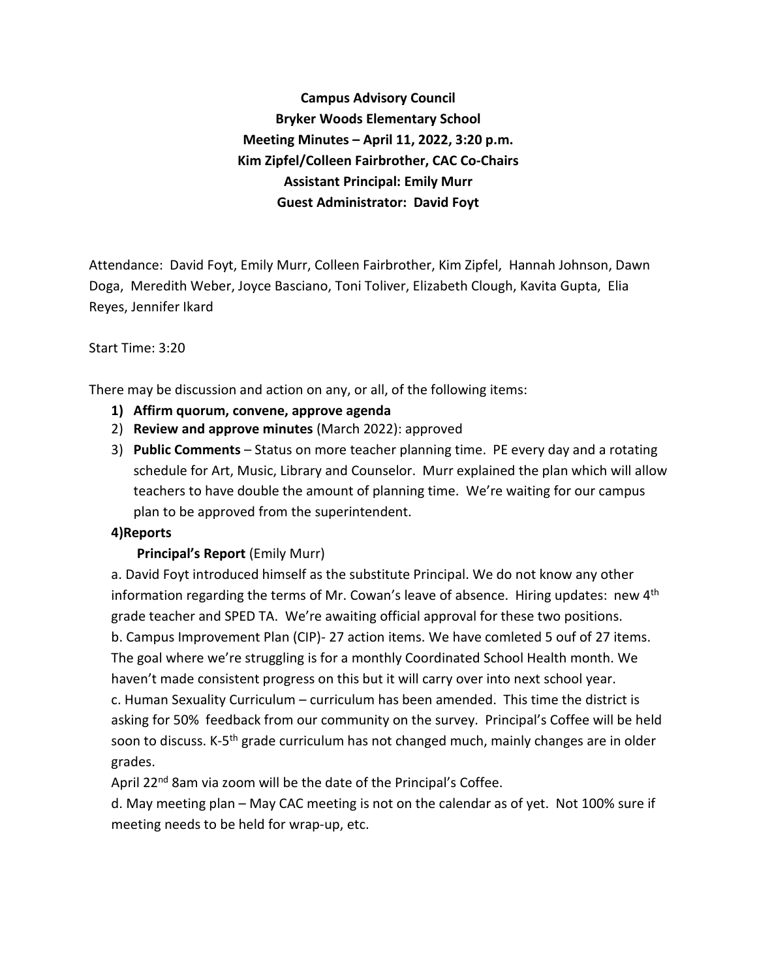**Campus Advisory Council Bryker Woods Elementary School Meeting Minutes – April 11, 2022, 3:20 p.m. Kim Zipfel/Colleen Fairbrother, CAC Co-Chairs Assistant Principal: Emily Murr Guest Administrator: David Foyt**

Attendance: David Foyt, Emily Murr, Colleen Fairbrother, Kim Zipfel, Hannah Johnson, Dawn Doga, Meredith Weber, Joyce Basciano, Toni Toliver, Elizabeth Clough, Kavita Gupta, Elia Reyes, Jennifer Ikard

#### Start Time: 3:20

There may be discussion and action on any, or all, of the following items:

- **1) Affirm quorum, convene, approve agenda**
- 2) **Review and approve minutes** (March 2022): approved
- 3) **Public Comments** Status on more teacher planning time. PE every day and a rotating schedule for Art, Music, Library and Counselor. Murr explained the plan which will allow teachers to have double the amount of planning time. We're waiting for our campus plan to be approved from the superintendent.

### **4)Reports**

### **Principal's Report** (Emily Murr)

a. David Foyt introduced himself as the substitute Principal. We do not know any other information regarding the terms of Mr. Cowan's leave of absence. Hiring updates: new  $4<sup>th</sup>$ grade teacher and SPED TA. We're awaiting official approval for these two positions. b. Campus Improvement Plan (CIP)- 27 action items. We have comleted 5 ouf of 27 items. The goal where we're struggling is for a monthly Coordinated School Health month. We haven't made consistent progress on this but it will carry over into next school year. c. Human Sexuality Curriculum – curriculum has been amended. This time the district is asking for 50% feedback from our community on the survey. Principal's Coffee will be held soon to discuss. K-5<sup>th</sup> grade curriculum has not changed much, mainly changes are in older grades.

April 22<sup>nd</sup> 8am via zoom will be the date of the Principal's Coffee.

d. May meeting plan – May CAC meeting is not on the calendar as of yet. Not 100% sure if meeting needs to be held for wrap-up, etc.